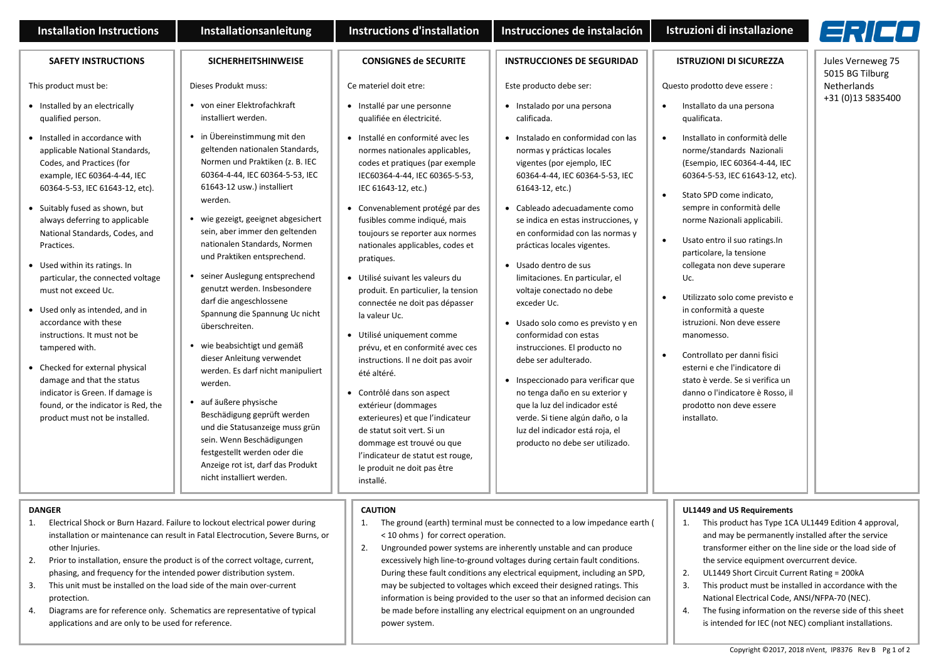| <b>Installation Instructions</b>                                                                                                                                                                                                                                                                                                                                                                                                                                                                                                                                                                                                                                              | <b>Installationsanleitung</b>                                                                                                                                                                                                                                                                                                                                                                                                                                                                                                                                                                                                                                                                                                                                                                             | <b>Instructions d'installation</b>                                                                                                                                                                                                                                                                                                                                                                                                                                                                                                                                                                                                                                                                                                                                                                             | Instrucciones de instalación                                                                                                                                                                                                                                                                                                                                                                                                                                                                                                                                                                                                                                                                                                                      | Istruzioni di installazione                                                                                                                                                                                                                                                                                                                                                                                                                                                                                                                                                                                                                                                     | FRIED.                               |
|-------------------------------------------------------------------------------------------------------------------------------------------------------------------------------------------------------------------------------------------------------------------------------------------------------------------------------------------------------------------------------------------------------------------------------------------------------------------------------------------------------------------------------------------------------------------------------------------------------------------------------------------------------------------------------|-----------------------------------------------------------------------------------------------------------------------------------------------------------------------------------------------------------------------------------------------------------------------------------------------------------------------------------------------------------------------------------------------------------------------------------------------------------------------------------------------------------------------------------------------------------------------------------------------------------------------------------------------------------------------------------------------------------------------------------------------------------------------------------------------------------|----------------------------------------------------------------------------------------------------------------------------------------------------------------------------------------------------------------------------------------------------------------------------------------------------------------------------------------------------------------------------------------------------------------------------------------------------------------------------------------------------------------------------------------------------------------------------------------------------------------------------------------------------------------------------------------------------------------------------------------------------------------------------------------------------------------|---------------------------------------------------------------------------------------------------------------------------------------------------------------------------------------------------------------------------------------------------------------------------------------------------------------------------------------------------------------------------------------------------------------------------------------------------------------------------------------------------------------------------------------------------------------------------------------------------------------------------------------------------------------------------------------------------------------------------------------------------|---------------------------------------------------------------------------------------------------------------------------------------------------------------------------------------------------------------------------------------------------------------------------------------------------------------------------------------------------------------------------------------------------------------------------------------------------------------------------------------------------------------------------------------------------------------------------------------------------------------------------------------------------------------------------------|--------------------------------------|
| <b>SAFETY INSTRUCTIONS</b>                                                                                                                                                                                                                                                                                                                                                                                                                                                                                                                                                                                                                                                    | <b>SICHERHEITSHINWEISE</b>                                                                                                                                                                                                                                                                                                                                                                                                                                                                                                                                                                                                                                                                                                                                                                                | <b>CONSIGNES de SECURITE</b>                                                                                                                                                                                                                                                                                                                                                                                                                                                                                                                                                                                                                                                                                                                                                                                   | <b>INSTRUCCIONES DE SEGURIDAD</b>                                                                                                                                                                                                                                                                                                                                                                                                                                                                                                                                                                                                                                                                                                                 | <b>ISTRUZIONI DI SICUREZZA</b>                                                                                                                                                                                                                                                                                                                                                                                                                                                                                                                                                                                                                                                  | Jules Verneweg 75<br>5015 BG Tilburg |
| This product must be:                                                                                                                                                                                                                                                                                                                                                                                                                                                                                                                                                                                                                                                         | Dieses Produkt muss:                                                                                                                                                                                                                                                                                                                                                                                                                                                                                                                                                                                                                                                                                                                                                                                      | Ce materiel doit etre:                                                                                                                                                                                                                                                                                                                                                                                                                                                                                                                                                                                                                                                                                                                                                                                         | Este producto debe ser:                                                                                                                                                                                                                                                                                                                                                                                                                                                                                                                                                                                                                                                                                                                           | Questo prodotto deve essere :                                                                                                                                                                                                                                                                                                                                                                                                                                                                                                                                                                                                                                                   | Netherlands                          |
| • Installed by an electrically<br>qualified person.                                                                                                                                                                                                                                                                                                                                                                                                                                                                                                                                                                                                                           | • von einer Elektrofachkraft<br>installiert werden.                                                                                                                                                                                                                                                                                                                                                                                                                                                                                                                                                                                                                                                                                                                                                       | · Installé par une personne<br>qualifiée en électricité.                                                                                                                                                                                                                                                                                                                                                                                                                                                                                                                                                                                                                                                                                                                                                       | · Instalado por una persona<br>calificada.                                                                                                                                                                                                                                                                                                                                                                                                                                                                                                                                                                                                                                                                                                        | Installato da una persona<br>qualificata.                                                                                                                                                                                                                                                                                                                                                                                                                                                                                                                                                                                                                                       | +31 (0)13 5835400                    |
| • Installed in accordance with<br>applicable National Standards,<br>Codes, and Practices (for<br>example, IEC 60364-4-44, IEC<br>60364-5-53, IEC 61643-12, etc).<br>• Suitably fused as shown, but<br>always deferring to applicable<br>National Standards, Codes, and<br>Practices.<br>• Used within its ratings. In<br>particular, the connected voltage<br>must not exceed Uc.<br>• Used only as intended, and in<br>accordance with these<br>instructions. It must not be<br>tampered with.<br>• Checked for external physical<br>damage and that the status<br>indicator is Green. If damage is<br>found, or the indicator is Red, the<br>product must not be installed. | • in Übereinstimmung mit den<br>geltenden nationalen Standards,<br>Normen und Praktiken (z. B. IEC<br>60364-4-44, IEC 60364-5-53, IEC<br>61643-12 usw.) installiert<br>werden.<br>wie gezeigt, geeignet abgesichert<br>sein, aber immer den geltenden<br>nationalen Standards, Normen<br>und Praktiken entsprechend.<br>seiner Auslegung entsprechend<br>genutzt werden. Insbesondere<br>darf die angeschlossene<br>Spannung die Spannung Uc nicht<br>überschreiten.<br>wie beabsichtigt und gemäß<br>dieser Anleitung verwendet<br>werden. Es darf nicht manipuliert<br>werden.<br>auf äußere physische<br>Beschädigung geprüft werden<br>und die Statusanzeige muss grün<br>sein. Wenn Beschädigungen<br>festgestellt werden oder die<br>Anzeige rot ist, darf das Produkt<br>nicht installiert werden. | · Installé en conformité avec les<br>normes nationales applicables,<br>codes et pratiques (par exemple<br>IEC60364-4-44, IEC 60365-5-53,<br>IEC 61643-12, etc.)<br>Convenablement protégé par des<br>fusibles comme indiqué, mais<br>toujours se reporter aux normes<br>nationales applicables, codes et<br>pratiques.<br>• Utilisé suivant les valeurs du<br>produit. En particulier, la tension<br>connectée ne doit pas dépasser<br>la valeur Uc.<br>• Utilisé uniquement comme<br>prévu, et en conformité avec ces<br>instructions. Il ne doit pas avoir<br>été altéré.<br>Contrôlé dans son aspect<br>extérieur (dommages<br>exterieures) et que l'indicateur<br>de statut soit vert. Si un<br>dommage est trouvé ou que<br>l'indicateur de statut est rouge,<br>le produit ne doit pas être<br>installé. | · Instalado en conformidad con las<br>normas y prácticas locales<br>vigentes (por ejemplo, IEC<br>60364-4-44, IEC 60364-5-53, IEC<br>61643-12, etc.)<br>• Cableado adecuadamente como<br>se indica en estas instrucciones, y<br>en conformidad con las normas y<br>prácticas locales vigentes.<br>• Usado dentro de sus<br>limitaciones. En particular, el<br>voltaje conectado no debe<br>exceder Uc.<br>• Usado solo como es previsto y en<br>conformidad con estas<br>instrucciones. El producto no<br>debe ser adulterado.<br>• Inspeccionado para verificar que<br>no tenga daño en su exterior y<br>que la luz del indicador esté<br>verde. Si tiene algún daño, o la<br>luz del indicador está roja, el<br>producto no debe ser utilizado. | Installato in conformità delle<br>$\bullet$<br>norme/standards Nazionali<br>(Esempio, IEC 60364-4-44, IEC<br>60364-5-53, IEC 61643-12, etc).<br>Stato SPD come indicato,<br>$\bullet$<br>sempre in conformità delle<br>norme Nazionali applicabili.<br>Usato entro il suo ratings. In<br>$\bullet$<br>particolare, la tensione<br>collegata non deve superare<br>Uc.<br>Utilizzato solo come previsto e<br>$\bullet$<br>in conformità a queste<br>istruzioni. Non deve essere<br>manomesso.<br>Controllato per danni fisici<br>esterni e che l'indicatore di<br>stato è verde. Se si verifica un<br>danno o l'indicatore è Rosso, il<br>prodotto non deve essere<br>installato. |                                      |
| <b>DANGER</b><br>Electrical Shock or Burn Hazard. Failure to lockout electrical power during<br>1.<br>installation or maintenance can result in Fatal Electrocution, Severe Burns, or<br>other Injuries.<br>2.<br>Prior to installation, ensure the product is of the correct voltage, current,<br>phasing, and frequency for the intended power distribution system.<br>3.<br>This unit must be installed on the load side of the main over-current                                                                                                                                                                                                                          |                                                                                                                                                                                                                                                                                                                                                                                                                                                                                                                                                                                                                                                                                                                                                                                                           | <b>CAUTION</b><br>1.<br>The ground (earth) terminal must be connected to a low impedance earth (<br>< 10 ohms ) for correct operation.<br>2.<br>Ungrounded power systems are inherently unstable and can produce<br>excessively high line-to-ground voltages during certain fault conditions.<br>During these fault conditions any electrical equipment, including an SPD,<br>may be subjected to voltages which exceed their designed ratings. This                                                                                                                                                                                                                                                                                                                                                           |                                                                                                                                                                                                                                                                                                                                                                                                                                                                                                                                                                                                                                                                                                                                                   | <b>UL1449 and US Requirements</b><br>This product has Type 1CA UL1449 Edition 4 approval,<br>1.<br>and may be permanently installed after the service<br>transformer either on the line side or the load side of<br>the service equipment overcurrent device.<br>UL1449 Short Circuit Current Rating = 200kA<br>2.<br>3.<br>This product must be installed in accordance with the                                                                                                                                                                                                                                                                                               |                                      |

information is being provided to the user so that an informed decision can be made before installing any electrical equipment on an ungrounded

power system.

- 3. This unit must be installed on the load side of the main over-current protection.
- 4. Diagrams are for reference only. Schematics are representative of typical applications and are only to be used for reference.

Copyright ©2017, 2018 nVent, IP8376 Rev B Pg 1 of 2

National Electrical Code, ANSI/NFPA-70 (NEC). 4. The fusing information on the reverse side of this sheet is intended for IEC (not NEC) compliant installations.